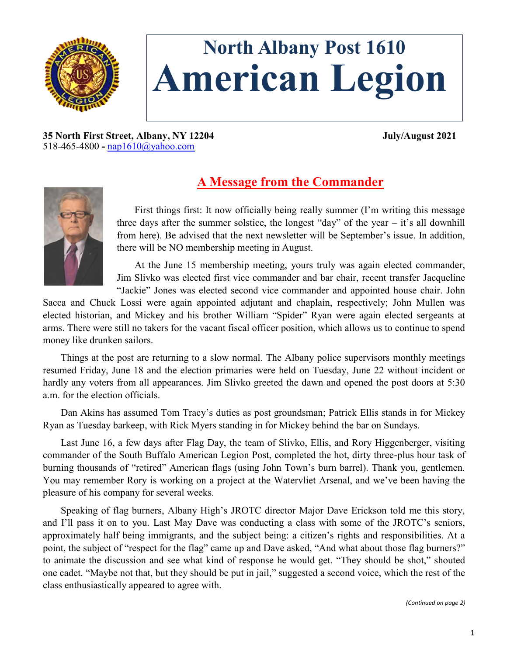

# **North Albany Post 1610 American Legion**

**35 North First Street, Albany, NY 12204 July/August 2021** 518-465-4800 **-** [nap1610@yahoo.com](mailto:nap1610@yahoo.com)



# **A Message from the Commander**

First things first: It now officially being really summer (I'm writing this message three days after the summer solstice, the longest "day" of the year  $-$  it's all downhill from here). Be advised that the next newsletter will be September's issue. In addition, there will be NO membership meeting in August.

At the June 15 membership meeting, yours truly was again elected commander, Jim Slivko was elected first vice commander and bar chair, recent transfer Jacqueline "Jackie" Jones was elected second vice commander and appointed house chair. John

Sacca and Chuck Lossi were again appointed adjutant and chaplain, respectively; John Mullen was elected historian, and Mickey and his brother William "Spider" Ryan were again elected sergeants at arms. There were still no takers for the vacant fiscal officer position, which allows us to continue to spend money like drunken sailors.

Things at the post are returning to a slow normal. The Albany police supervisors monthly meetings resumed Friday, June 18 and the election primaries were held on Tuesday, June 22 without incident or hardly any voters from all appearances. Jim Slivko greeted the dawn and opened the post doors at 5:30 a.m. for the election officials.

Dan Akins has assumed Tom Tracy's duties as post groundsman; Patrick Ellis stands in for Mickey Ryan as Tuesday barkeep, with Rick Myers standing in for Mickey behind the bar on Sundays.

Last June 16, a few days after Flag Day, the team of Slivko, Ellis, and Rory Higgenberger, visiting commander of the South Buffalo American Legion Post, completed the hot, dirty three-plus hour task of burning thousands of "retired" American flags (using John Town's burn barrel). Thank you, gentlemen. You may remember Rory is working on a project at the Watervliet Arsenal, and we've been having the pleasure of his company for several weeks.

Speaking of flag burners, Albany High's JROTC director Major Dave Erickson told me this story, and I'll pass it on to you. Last May Dave was conducting a class with some of the JROTC's seniors, approximately half being immigrants, and the subject being: a citizen's rights and responsibilities. At a point, the subject of "respect for the flag" came up and Dave asked, "And what about those flag burners?" to animate the discussion and see what kind of response he would get. "They should be shot," shouted one cadet. "Maybe not that, but they should be put in jail," suggested a second voice, which the rest of the class enthusiastically appeared to agree with.

*(Continued on page 2)*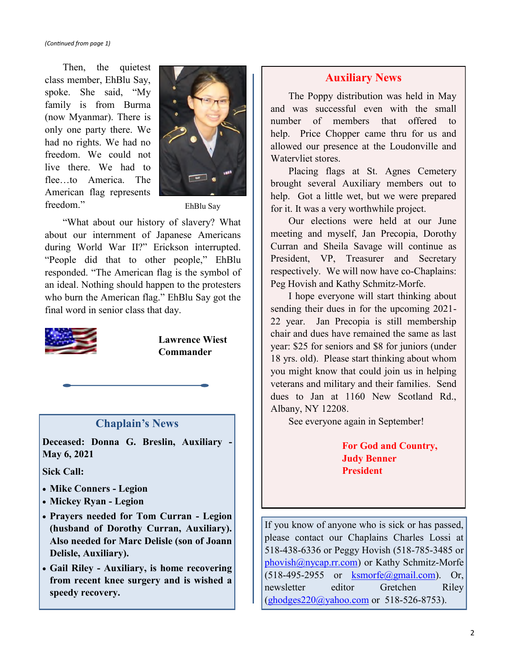Then, the quietest class member, EhBlu Say, spoke. She said, "My family is from Burma (now Myanmar). There is only one party there. We had no rights. We had no freedom. We could not live there. We had to flee to America. The American flag represents freedom."



EhBlu Say

"What about our history of slavery? What about our internment of Japanese Americans during World War II?" Erickson interrupted. "People did that to other people," EhBlu responded. "The American flag is the symbol of an ideal. Nothing should happen to the protesters who burn the American flag." EhBlu Say got the final word in senior class that day.



**Lawrence Wiest Commander**

#### **Chaplain's News**

**Deceased: Donna G. Breslin, Auxiliary - May 6, 2021**

**Sick Call:**

- **Mike Conners - Legion**
- **Mickey Ryan - Legion**
- **Prayers needed for Tom Curran - Legion (husband of Dorothy Curran, Auxiliary). Also needed for Marc Delisle (son of Joann Delisle, Auxiliary).**
- **Gail Riley - Auxiliary, is home recovering from recent knee surgery and is wished a speedy recovery.**

## **Auxiliary News**

The Poppy distribution was held in May and was successful even with the small number of members that offered to help. Price Chopper came thru for us and allowed our presence at the Loudonville and Watervliet stores.

Placing flags at St. Agnes Cemetery brought several Auxiliary members out to help. Got a little wet, but we were prepared for it. It was a very worthwhile project.

Our elections were held at our June meeting and myself, Jan Precopia, Dorothy Curran and Sheila Savage will continue as President, VP, Treasurer and Secretary respectively. We will now have co-Chaplains: Peg Hovish and Kathy Schmitz-Morfe.

I hope everyone will start thinking about sending their dues in for the upcoming 2021- 22 year. Jan Precopia is still membership chair and dues have remained the same as last year: \$25 for seniors and \$8 for juniors (under 18 yrs. old). Please start thinking about whom you might know that could join us in helping veterans and military and their families. Send dues to Jan at 1160 New Scotland Rd., Albany, NY 12208.

See everyone again in September!

**For God and Country, Judy Benner President**

If you know of anyone who is sick or has passed, please contact our Chaplains Charles Lossi at 518-438-6336 or Peggy Hovish (518-785-3485 or [phovish@nycap.rr.com\)](mailto:phovish@nycap.rr.com) or Kathy Schmitz-Morfe  $(518-495-2955)$  or [ksmorfe@gmail.com\)](mailto:ksmorfe@gmail.com). Or, newsletter editor Gretchen Riley ([ghodges220@yahoo.com](mailto:ghodges220@yahoo.com) or 518-526-8753).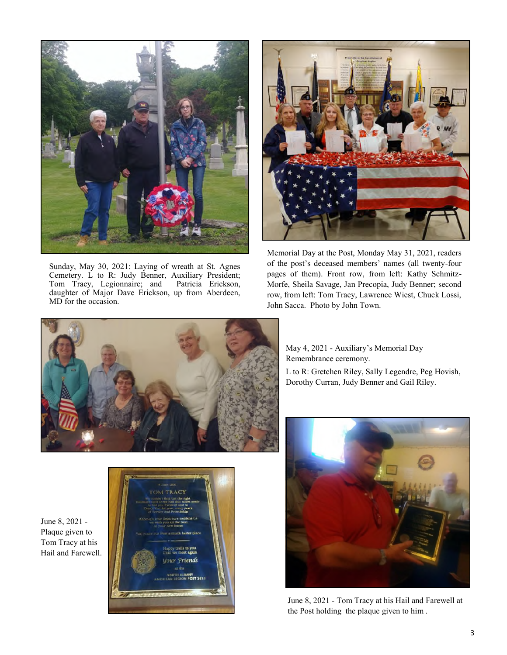

Sunday, May 30, 2021: Laying of wreath at St. Agnes Cemetery. L to R: Judy Benner, Auxiliary President; Tom Tracy, Legionnaire; and Patricia Erickson, daughter of Major Dave Erickson, up from Aberdeen, MD for the occasion.



Memorial Day at the Post, Monday May 31, 2021, readers of the post's deceased members' names (all twenty-four pages of them). Front row, from left: Kathy Schmitz-Morfe, Sheila Savage, Jan Precopia, Judy Benner; second row, from left: Tom Tracy, Lawrence Wiest, Chuck Lossi, John Sacca. Photo by John Town.





May 4, 2021 - Auxiliary's Memorial Day Remembrance ceremony.

L to R: Gretchen Riley, Sally Legendre, Peg Hovish, Dorothy Curran, Judy Benner and Gail Riley.



June 8, 2021 - Tom Tracy at his Hail and Farewell at the Post holding the plaque given to him .